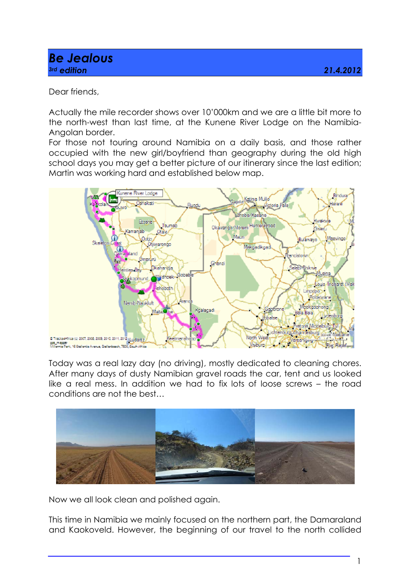## *Be Jealous 3rd edition 21.4.2012*

Dear friends,

Actually the mile recorder shows over 10'000km and we are a little bit more to the north-west than last time, at the Kunene River Lodge on the Namibia-Angolan border.

For those not touring around Namibia on a daily basis, and those rather occupied with the new girl/boyfriend than geography during the old high school days you may get a better picture of our itinerary since the last edition; Martin was working hard and established below map.



Today was a real lazy day (no driving), mostly dedicated to cleaning chores. After many days of dusty Namibian gravel roads the car, tent and us looked like a real mess. In addition we had to fix lots of loose screws – the road conditions are not the best…



Now we all look clean and polished again.

This time in Namibia we mainly focused on the northern part, the Damaraland and Kaokoveld. However, the beginning of our travel to the north collided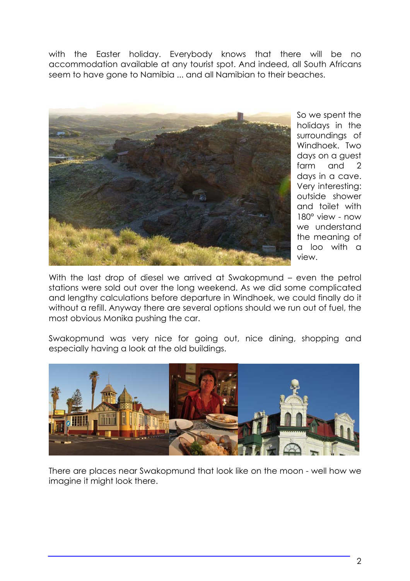with the Easter holiday. Everybody knows that there will be no accommodation available at any tourist spot. And indeed, all South Africans seem to have gone to Namibia ... and all Namibian to their beaches.



So we spent the holidays in the surroundings of Windhoek. Two days on a guest farm and 2 days in a cave. Very interesting: outside shower and toilet with 180° view - now we understand the meaning of a loo with a view.

With the last drop of diesel we arrived at Swakopmund – even the petrol stations were sold out over the long weekend. As we did some complicated and lengthy calculations before departure in Windhoek, we could finally do it without a refill. Anyway there are several options should we run out of fuel, the most obvious Monika pushing the car.

Swakopmund was very nice for going out, nice dining, shopping and especially having a look at the old buildings.



There are places near Swakopmund that look like on the moon - well how we imagine it might look there.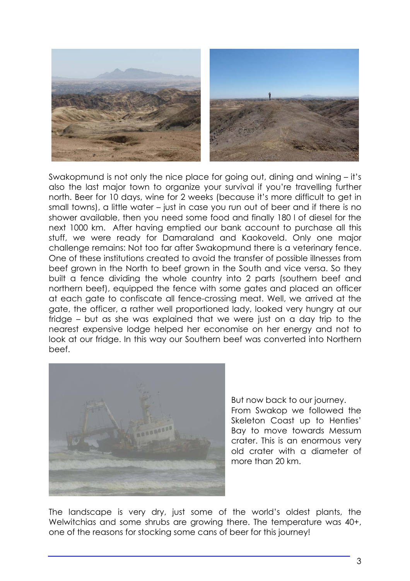

Swakopmund is not only the nice place for going out, dining and wining – it's also the last major town to organize your survival if you're travelling further north. Beer for 10 days, wine for 2 weeks (because it's more difficult to get in small towns), a little water – just in case you run out of beer and if there is no shower available, then you need some food and finally 180 l of diesel for the next 1000 km. After having emptied our bank account to purchase all this stuff, we were ready for Damaraland and Kaokoveld. Only one major challenge remains: Not too far after Swakopmund there is a veterinary fence. One of these institutions created to avoid the transfer of possible illnesses from beef grown in the North to beef grown in the South and vice versa. So they built a fence dividing the whole country into 2 parts (southern beef and northern beef), equipped the fence with some gates and placed an officer at each gate to confiscate all fence-crossing meat. Well, we arrived at the gate, the officer, a rather well proportioned lady, looked very hungry at our fridge – but as she was explained that we were just on a day trip to the nearest expensive lodge helped her economise on her energy and not to look at our fridge. In this way our Southern beef was converted into Northern beef.



But now back to our journey. From Swakop we followed the Skeleton Coast up to Henties' Bay to move towards Messum crater. This is an enormous very old crater with a diameter of more than 20 km.

The landscape is very dry, just some of the world's oldest plants, the Welwitchias and some shrubs are growing there. The temperature was 40+, one of the reasons for stocking some cans of beer for this journey!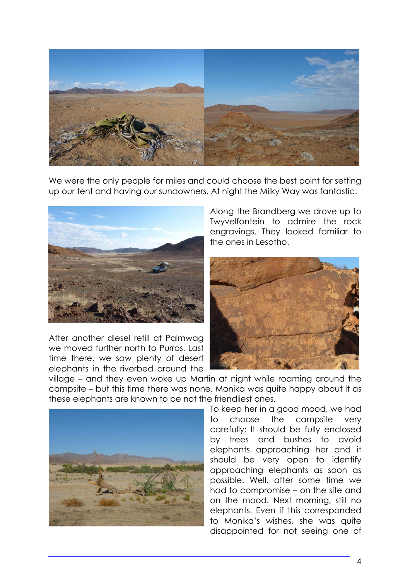

We were the only people for miles and could choose the best point for setting up our tent and having our sundowners. At night the Milky Way was fantastic.



After another diesel refill at Palmwag we moved further north to Purros. Last time there, we saw plenty of desert elephants in the riverbed around the

Along the Brandberg we drove up to Twyvelfontein to admire the rock engravings. They looked familiar to the ones in Lesotho.



village – and they even woke up Martin at night while roaming around the campsite – but this time there was none. Monika was quite happy about it as these elephants are known to be not the friendliest ones.



To keep her in a good mood, we had to choose the campsite very carefully: It should be fully enclosed by trees and bushes to avoid elephants approaching her and it should be very open to identify approaching elephants as soon as possible. Well, after some time we had to compromise – on the site and on the mood. Next morning, still no elephants. Even if this corresponded to Monika's wishes, she was quite disappointed for not seeing one of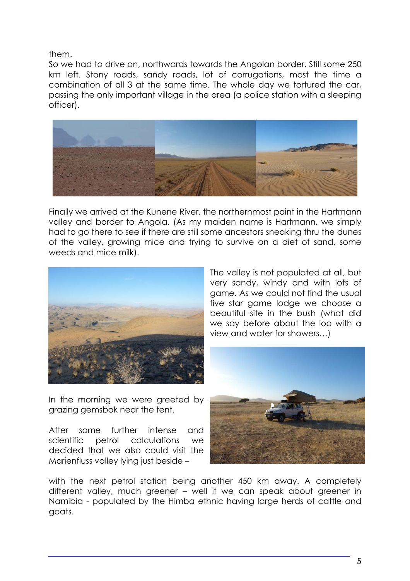them.

So we had to drive on, northwards towards the Angolan border. Still some 250 km left. Stony roads, sandy roads, lot of corrugations, most the time a combination of all 3 at the same time. The whole day we tortured the car, passing the only important village in the area (a police station with a sleeping officer).



Finally we arrived at the Kunene River, the northernmost point in the Hartmann valley and border to Angola. (As my maiden name is Hartmann, we simply had to go there to see if there are still some ancestors sneaking thru the dunes of the valley, growing mice and trying to survive on a diet of sand, some weeds and mice milk).



In the morning we were greeted by grazing gemsbok near the tent.

After some further intense and scientific petrol calculations we decided that we also could visit the Marienfluss valley lying just beside –

The valley is not populated at all, but very sandy, windy and with lots of game. As we could not find the usual five star game lodge we choose a beautiful site in the bush (what did we say before about the loo with a view and water for showers…)



with the next petrol station being another 450 km away. A completely different valley, much greener – well if we can speak about greener in Namibia - populated by the Himba ethnic having large herds of cattle and goats.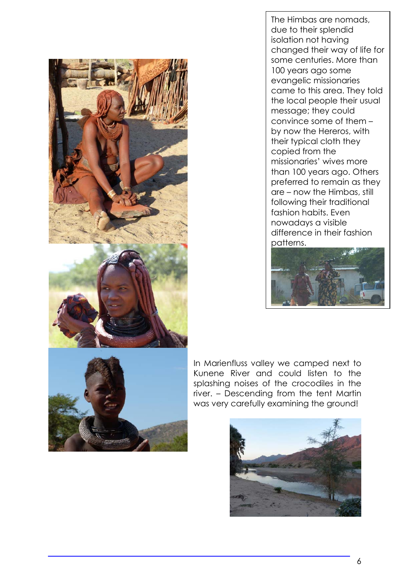

The Himbas are nomads, due to their splendid isolation not having changed their way of life for some centuries. More than 100 years ago some evangelic missionaries came to this area. They told the local people their usual message; they could convince some of them – by now the Hereros, with their typical cloth they copied from the missionaries' wives more than 100 years ago. Others preferred to remain as they are – now the Himbas, still following their traditional fashion habits. Even nowadays a visible difference in their fashion patterns.